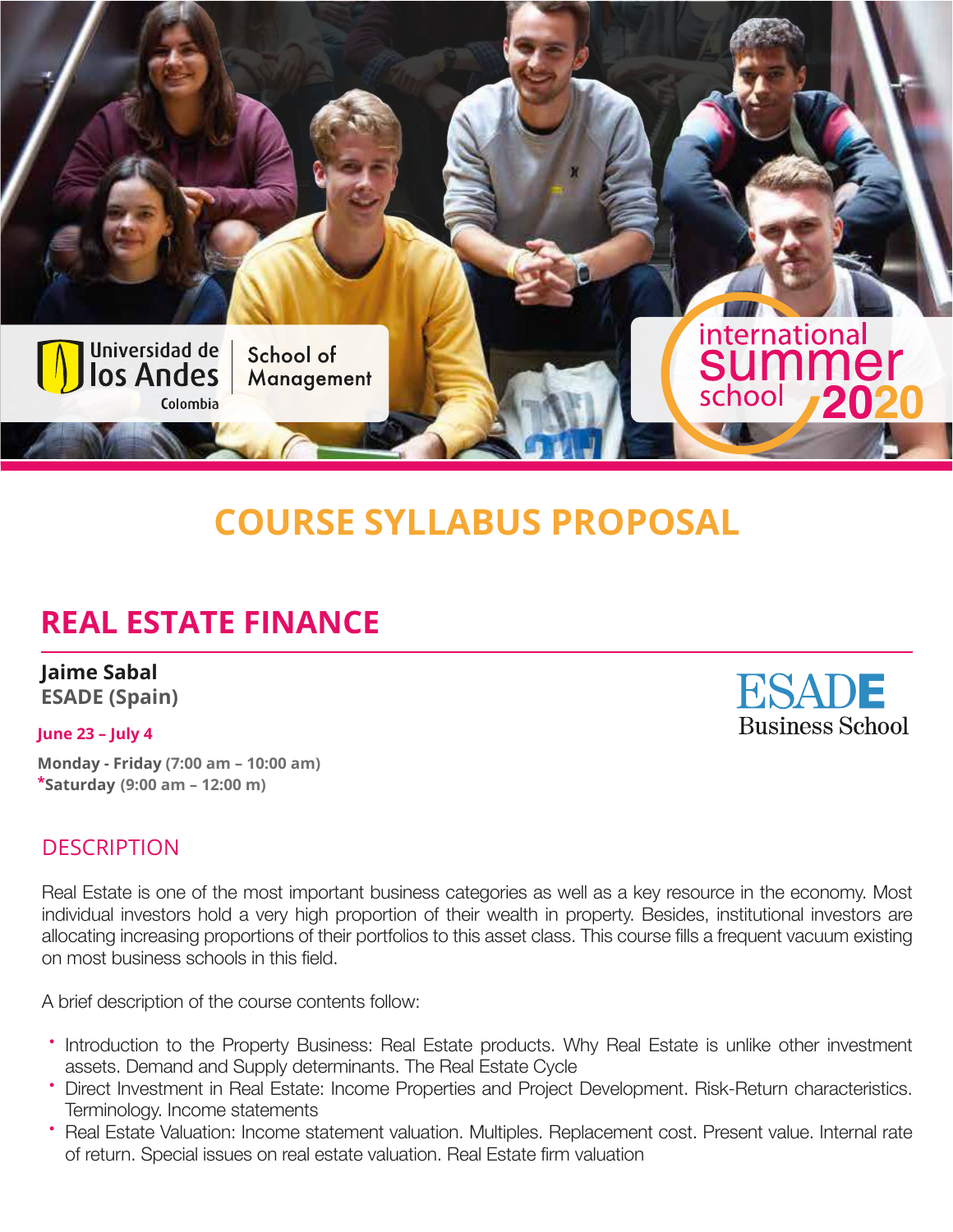

# **COURSE SYLLABUS PROPOSAL**

# **REAL ESTATE FINANCE**

**Jaime Sabal ESADE (Spain)**

#### **June 23 – July 4**

**Monday - Friday (7:00 am – 10:00 am) \*Saturday((9:00 am – 12:00 m)**

#### **DESCRIPTION**

Real Estate is one of the most important business categories as well as a key resource in the economy. Most individual investors hold a very high proportion of their wealth in property. Besides, institutional investors are allocating increasing proportions of their portfolios to this asset class. This course fills a frequent vacuum existing on most business schools in this field.

A brief description of the course contents follow:

- Introduction to the Property Business: Real Estate products. Why Real Estate is unlike other investment assets. Demand and Supply determinants. The Real Estate Cycle
- Direct Investment in Real Estate: Income Properties and Project Development. Risk-Return characteristics. Terminology. Income statements
- Real Estate Valuation: Income statement valuation. Multiples. Replacement cost. Present value. Internal rate of return. Special issues on real estate valuation. Real Estate firm valuation